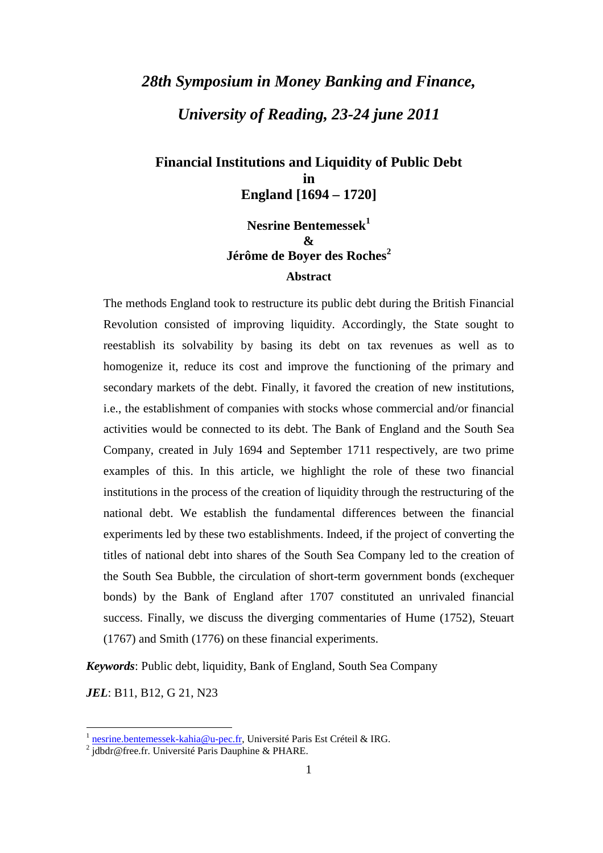# *28th Symposium in Money Banking and Finance, University of Reading, 23-24 june 2011*

**Financial Institutions and Liquidity of Public Debt in England [1694 – 1720]** 

## **Nesrine Bentemessek<sup>1</sup> & Jérôme de Boyer des Roches<sup>2</sup> Abstract**

The methods England took to restructure its public debt during the British Financial Revolution consisted of improving liquidity. Accordingly, the State sought to reestablish its solvability by basing its debt on tax revenues as well as to homogenize it, reduce its cost and improve the functioning of the primary and secondary markets of the debt. Finally, it favored the creation of new institutions, i.e., the establishment of companies with stocks whose commercial and/or financial activities would be connected to its debt. The Bank of England and the South Sea Company, created in July 1694 and September 1711 respectively, are two prime examples of this. In this article, we highlight the role of these two financial institutions in the process of the creation of liquidity through the restructuring of the national debt. We establish the fundamental differences between the financial experiments led by these two establishments. Indeed, if the project of converting the titles of national debt into shares of the South Sea Company led to the creation of the South Sea Bubble, the circulation of short-term government bonds (exchequer bonds) by the Bank of England after 1707 constituted an unrivaled financial success. Finally, we discuss the diverging commentaries of Hume (1752), Steuart (1767) and Smith (1776) on these financial experiments.

*Keywords*: Public debt, liquidity, Bank of England, South Sea Company

*JEL*: B11, B12, G 21, N23

<sup>1</sup> nesrine.bentemessek-kahia@u-pec.fr, Université Paris Est Créteil & IRG.

<sup>&</sup>lt;sup>2</sup> jdbdr@free.fr. Université Paris Dauphine & PHARE.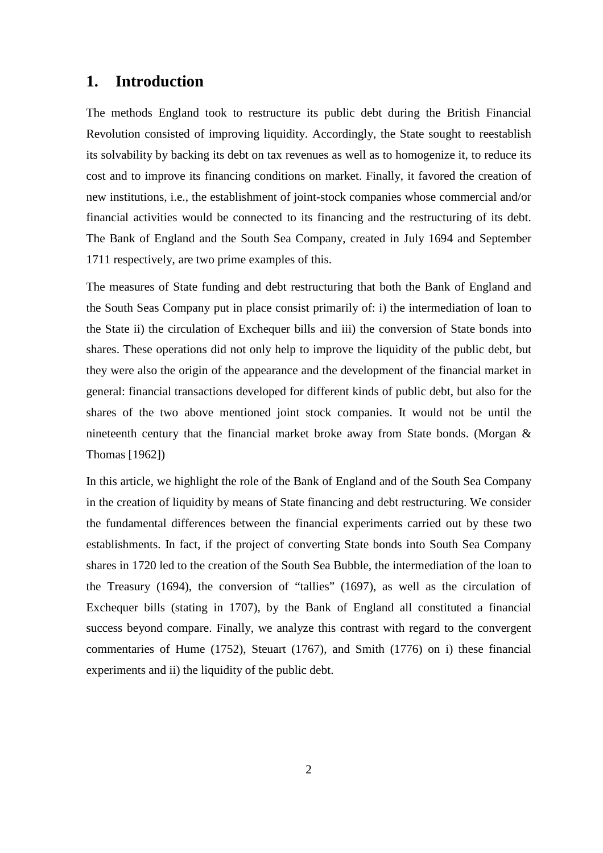## **1. Introduction**

The methods England took to restructure its public debt during the British Financial Revolution consisted of improving liquidity. Accordingly, the State sought to reestablish its solvability by backing its debt on tax revenues as well as to homogenize it, to reduce its cost and to improve its financing conditions on market. Finally, it favored the creation of new institutions, i.e., the establishment of joint-stock companies whose commercial and/or financial activities would be connected to its financing and the restructuring of its debt. The Bank of England and the South Sea Company, created in July 1694 and September 1711 respectively, are two prime examples of this.

The measures of State funding and debt restructuring that both the Bank of England and the South Seas Company put in place consist primarily of: i) the intermediation of loan to the State ii) the circulation of Exchequer bills and iii) the conversion of State bonds into shares. These operations did not only help to improve the liquidity of the public debt, but they were also the origin of the appearance and the development of the financial market in general: financial transactions developed for different kinds of public debt, but also for the shares of the two above mentioned joint stock companies. It would not be until the nineteenth century that the financial market broke away from State bonds. (Morgan & Thomas [1962])

In this article, we highlight the role of the Bank of England and of the South Sea Company in the creation of liquidity by means of State financing and debt restructuring. We consider the fundamental differences between the financial experiments carried out by these two establishments. In fact, if the project of converting State bonds into South Sea Company shares in 1720 led to the creation of the South Sea Bubble, the intermediation of the loan to the Treasury (1694), the conversion of "tallies" (1697), as well as the circulation of Exchequer bills (stating in 1707), by the Bank of England all constituted a financial success beyond compare. Finally, we analyze this contrast with regard to the convergent commentaries of Hume (1752), Steuart (1767), and Smith (1776) on i) these financial experiments and ii) the liquidity of the public debt.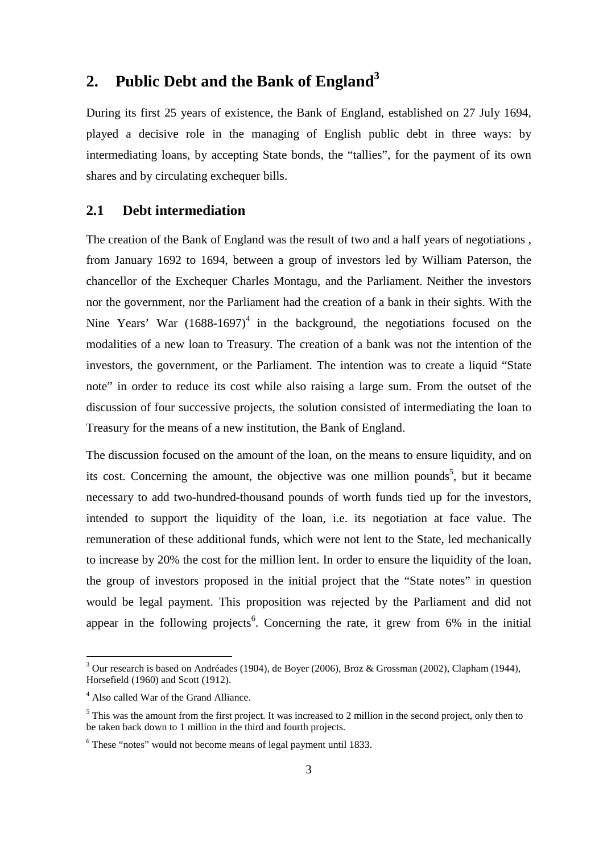## **2. Public Debt and the Bank of England<sup>3</sup>**

During its first 25 years of existence, the Bank of England, established on 27 July 1694, played a decisive role in the managing of English public debt in three ways: by intermediating loans, by accepting State bonds, the "tallies", for the payment of its own shares and by circulating exchequer bills.

#### **2.1 Debt intermediation**

The creation of the Bank of England was the result of two and a half years of negotiations , from January 1692 to 1694, between a group of investors led by William Paterson, the chancellor of the Exchequer Charles Montagu, and the Parliament. Neither the investors nor the government, nor the Parliament had the creation of a bank in their sights. With the Nine Years' War  $(1688-1697)^4$  in the background, the negotiations focused on the modalities of a new loan to Treasury. The creation of a bank was not the intention of the investors, the government, or the Parliament. The intention was to create a liquid "State note" in order to reduce its cost while also raising a large sum. From the outset of the discussion of four successive projects, the solution consisted of intermediating the loan to Treasury for the means of a new institution, the Bank of England.

The discussion focused on the amount of the loan, on the means to ensure liquidity, and on its cost. Concerning the amount, the objective was one million pounds<sup>5</sup>, but it became necessary to add two-hundred-thousand pounds of worth funds tied up for the investors, intended to support the liquidity of the loan, i.e. its negotiation at face value. The remuneration of these additional funds, which were not lent to the State, led mechanically to increase by 20% the cost for the million lent. In order to ensure the liquidity of the loan, the group of investors proposed in the initial project that the "State notes" in question would be legal payment. This proposition was rejected by the Parliament and did not appear in the following projects<sup>6</sup>. Concerning the rate, it grew from  $6\%$  in the initial

 3 Our research is based on Andréades (1904), de Boyer (2006), Broz & Grossman (2002), Clapham (1944), Horsefield (1960) and Scott (1912).

<sup>4</sup> Also called War of the Grand Alliance.

 $<sup>5</sup>$  This was the amount from the first project. It was increased to 2 million in the second project, only then to</sup> be taken back down to 1 million in the third and fourth projects.

<sup>&</sup>lt;sup>6</sup> These "notes" would not become means of legal payment until 1833.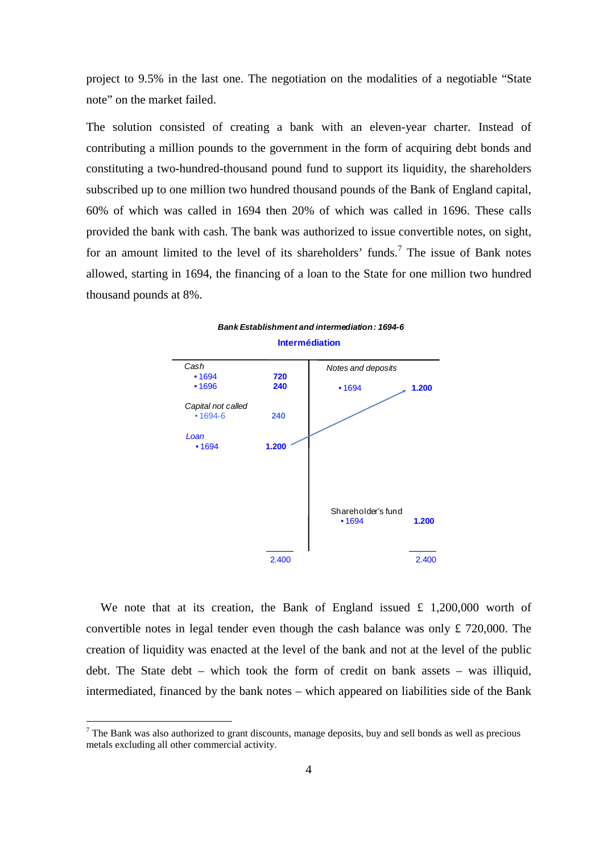project to 9.5% in the last one. The negotiation on the modalities of a negotiable "State note" on the market failed.

The solution consisted of creating a bank with an eleven-year charter. Instead of contributing a million pounds to the government in the form of acquiring debt bonds and constituting a two-hundred-thousand pound fund to support its liquidity, the shareholders subscribed up to one million two hundred thousand pounds of the Bank of England capital, 60% of which was called in 1694 then 20% of which was called in 1696. These calls provided the bank with cash. The bank was authorized to issue convertible notes, on sight, for an amount limited to the level of its shareholders' funds.<sup>7</sup> The issue of Bank notes allowed, starting in 1694, the financing of a loan to the State for one million two hundred thousand pounds at 8%.



We note that at its creation, the Bank of England issued  $\pounds$  1,200,000 worth of convertible notes in legal tender even though the cash balance was only £ 720,000. The creation of liquidity was enacted at the level of the bank and not at the level of the public debt. The State debt – which took the form of credit on bank assets – was illiquid, intermediated, financed by the bank notes – which appeared on liabilities side of the Bank

 $7$  The Bank was also authorized to grant discounts, manage deposits, buy and sell bonds as well as precious metals excluding all other commercial activity.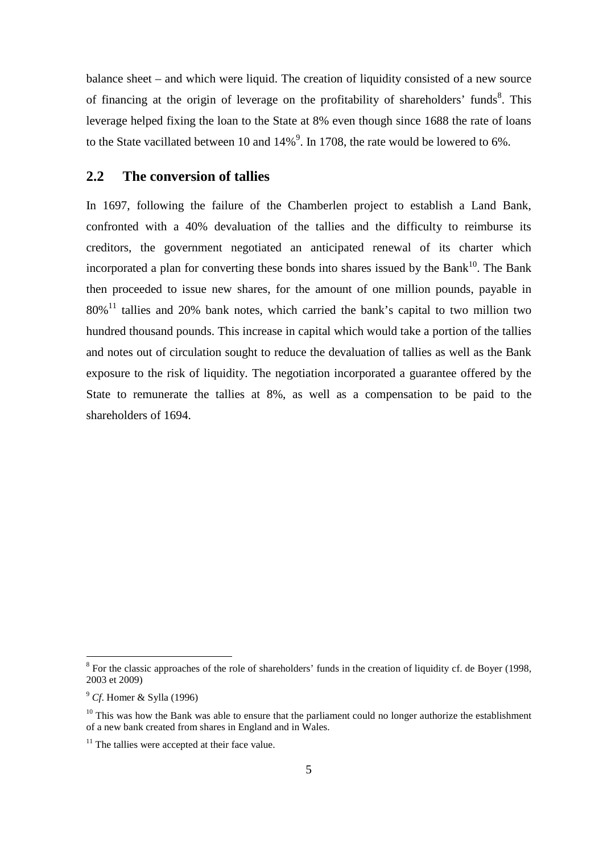balance sheet – and which were liquid. The creation of liquidity consisted of a new source of financing at the origin of leverage on the profitability of shareholders' funds<sup>8</sup>. This leverage helped fixing the loan to the State at 8% even though since 1688 the rate of loans to the State vacillated between 10 and  $14\%$ <sup>9</sup>. In 1708, the rate would be lowered to 6%.

## **2.2 The conversion of tallies**

In 1697, following the failure of the Chamberlen project to establish a Land Bank, confronted with a 40% devaluation of the tallies and the difficulty to reimburse its creditors, the government negotiated an anticipated renewal of its charter which incorporated a plan for converting these bonds into shares issued by the Bank<sup>10</sup>. The Bank then proceeded to issue new shares, for the amount of one million pounds, payable in  $80\%$ <sup>11</sup> tallies and 20% bank notes, which carried the bank's capital to two million two hundred thousand pounds. This increase in capital which would take a portion of the tallies and notes out of circulation sought to reduce the devaluation of tallies as well as the Bank exposure to the risk of liquidity. The negotiation incorporated a guarantee offered by the State to remunerate the tallies at 8%, as well as a compensation to be paid to the shareholders of 1694.

 $8$  For the classic approaches of the role of shareholders' funds in the creation of liquidity cf. de Boyer (1998, 2003 et 2009)

<sup>9</sup> *Cf*. Homer & Sylla (1996)

 $10$  This was how the Bank was able to ensure that the parliament could no longer authorize the establishment of a new bank created from shares in England and in Wales.

 $11$  The tallies were accepted at their face value.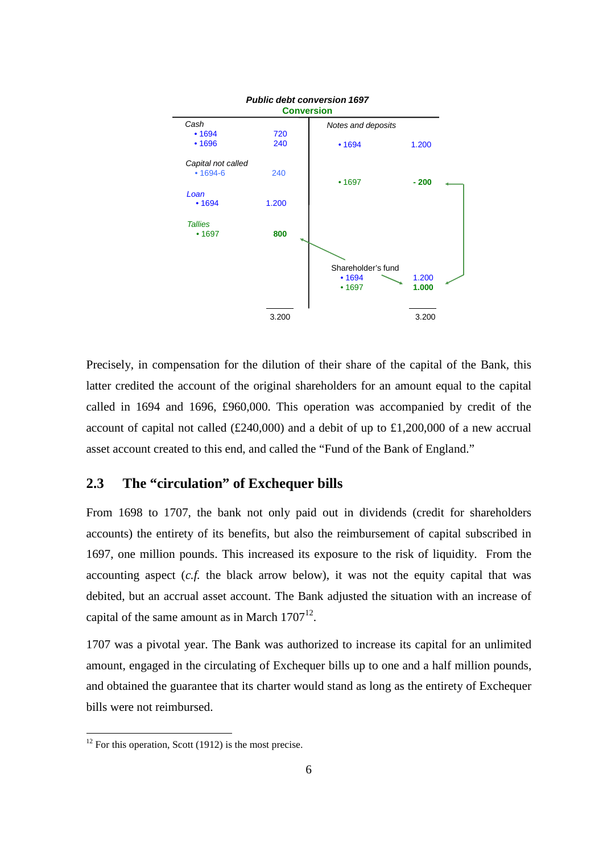

Precisely, in compensation for the dilution of their share of the capital of the Bank, this latter credited the account of the original shareholders for an amount equal to the capital called in 1694 and 1696, £960,000. This operation was accompanied by credit of the account of capital not called (£240,000) and a debit of up to £1,200,000 of a new accrual asset account created to this end, and called the "Fund of the Bank of England."

## **2.3 The "circulation" of Exchequer bills**

From 1698 to 1707, the bank not only paid out in dividends (credit for shareholders accounts) the entirety of its benefits, but also the reimbursement of capital subscribed in 1697, one million pounds. This increased its exposure to the risk of liquidity. From the accounting aspect (*c.f.* the black arrow below), it was not the equity capital that was debited, but an accrual asset account. The Bank adjusted the situation with an increase of capital of the same amount as in March  $1707<sup>12</sup>$ .

1707 was a pivotal year. The Bank was authorized to increase its capital for an unlimited amount, engaged in the circulating of Exchequer bills up to one and a half million pounds, and obtained the guarantee that its charter would stand as long as the entirety of Exchequer bills were not reimbursed.

 $12$  For this operation, Scott (1912) is the most precise.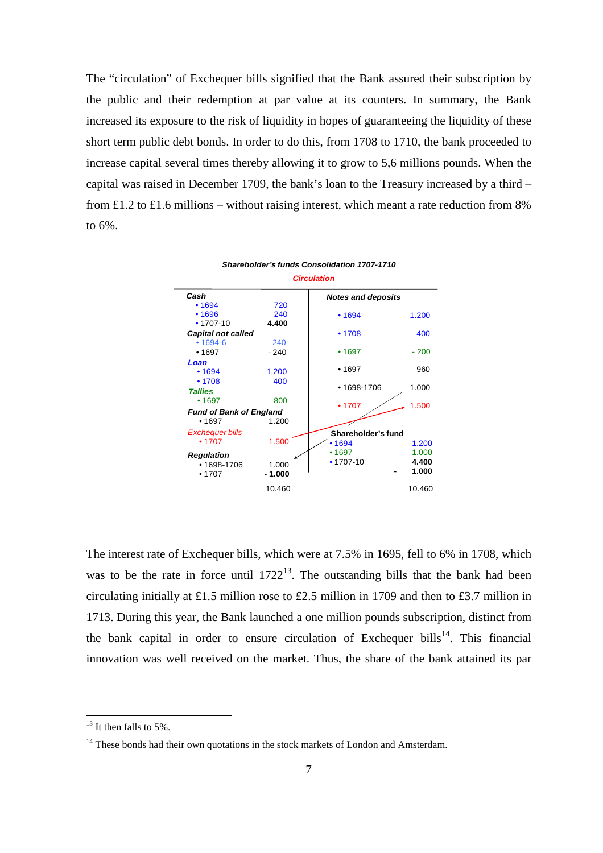The "circulation" of Exchequer bills signified that the Bank assured their subscription by the public and their redemption at par value at its counters. In summary, the Bank increased its exposure to the risk of liquidity in hopes of guaranteeing the liquidity of these short term public debt bonds. In order to do this, from 1708 to 1710, the bank proceeded to increase capital several times thereby allowing it to grow to 5,6 millions pounds. When the capital was raised in December 1709, the bank's loan to the Treasury increased by a third – from £1.2 to £1.6 millions – without raising interest, which meant a rate reduction from 8% to 6%.



The interest rate of Exchequer bills, which were at 7.5% in 1695, fell to 6% in 1708, which was to be the rate in force until  $1722^{13}$ . The outstanding bills that the bank had been circulating initially at £1.5 million rose to £2.5 million in 1709 and then to £3.7 million in 1713. During this year, the Bank launched a one million pounds subscription, distinct from the bank capital in order to ensure circulation of Exchequer bills<sup>14</sup>. This financial innovation was well received on the market. Thus, the share of the bank attained its par

 $13$  It then falls to 5%.

<sup>&</sup>lt;sup>14</sup> These bonds had their own quotations in the stock markets of London and Amsterdam.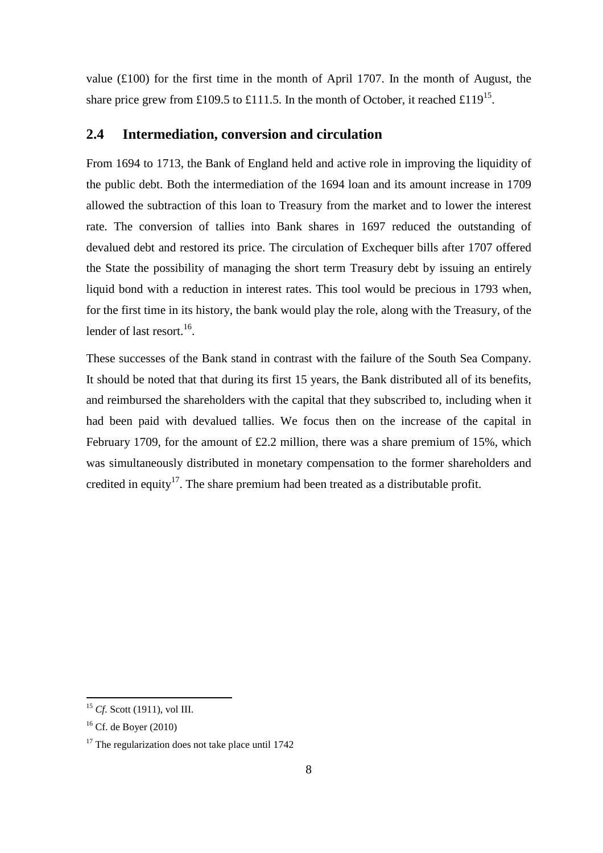value (£100) for the first time in the month of April 1707. In the month of August, the share price grew from £109.5 to £111.5. In the month of October, it reached £119<sup>15</sup>.

#### **2.4 Intermediation, conversion and circulation**

From 1694 to 1713, the Bank of England held and active role in improving the liquidity of the public debt. Both the intermediation of the 1694 loan and its amount increase in 1709 allowed the subtraction of this loan to Treasury from the market and to lower the interest rate. The conversion of tallies into Bank shares in 1697 reduced the outstanding of devalued debt and restored its price. The circulation of Exchequer bills after 1707 offered the State the possibility of managing the short term Treasury debt by issuing an entirely liquid bond with a reduction in interest rates. This tool would be precious in 1793 when, for the first time in its history, the bank would play the role, along with the Treasury, of the lender of last resort.<sup>16</sup>.

These successes of the Bank stand in contrast with the failure of the South Sea Company. It should be noted that that during its first 15 years, the Bank distributed all of its benefits, and reimbursed the shareholders with the capital that they subscribed to, including when it had been paid with devalued tallies. We focus then on the increase of the capital in February 1709, for the amount of £2.2 million, there was a share premium of 15%, which was simultaneously distributed in monetary compensation to the former shareholders and credited in equity<sup>17</sup>. The share premium had been treated as a distributable profit.

 $\overline{a}$ <sup>15</sup> *Cf*. Scott (1911), vol III.

 $16$  Cf. de Boyer (2010)

 $17$  The regularization does not take place until 1742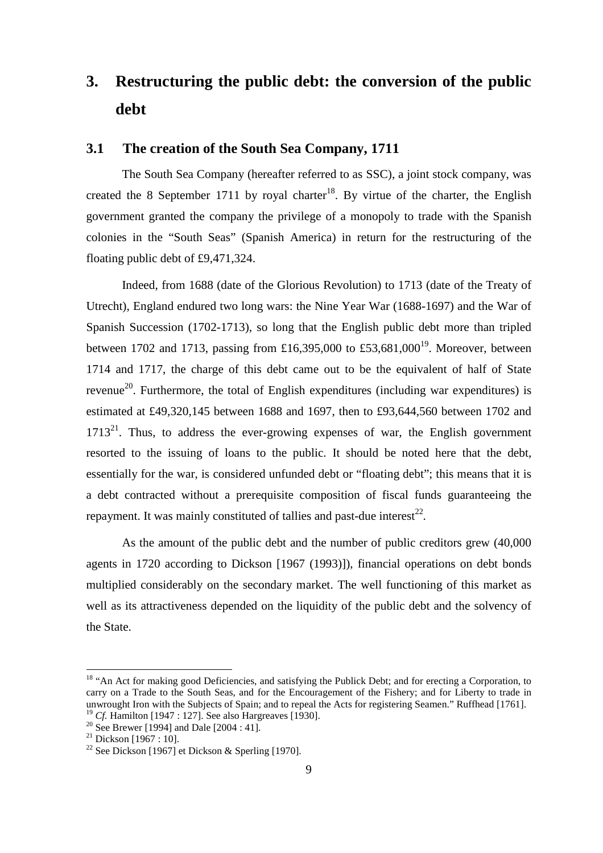## **3. Restructuring the public debt: the conversion of the public debt**

#### **3.1 The creation of the South Sea Company, 1711**

The South Sea Company (hereafter referred to as SSC), a joint stock company, was created the 8 September 1711 by royal charter<sup>18</sup>. By virtue of the charter, the English government granted the company the privilege of a monopoly to trade with the Spanish colonies in the "South Seas" (Spanish America) in return for the restructuring of the floating public debt of £9,471,324.

Indeed, from 1688 (date of the Glorious Revolution) to 1713 (date of the Treaty of Utrecht), England endured two long wars: the Nine Year War (1688-1697) and the War of Spanish Succession (1702-1713), so long that the English public debt more than tripled between 1702 and 1713, passing from £16,395,000 to £53,681,000<sup>19</sup>. Moreover, between 1714 and 1717, the charge of this debt came out to be the equivalent of half of State revenue<sup>20</sup>. Furthermore, the total of English expenditures (including war expenditures) is estimated at £49,320,145 between 1688 and 1697, then to £93,644,560 between 1702 and  $1713<sup>21</sup>$ . Thus, to address the ever-growing expenses of war, the English government resorted to the issuing of loans to the public. It should be noted here that the debt, essentially for the war, is considered unfunded debt or "floating debt"; this means that it is a debt contracted without a prerequisite composition of fiscal funds guaranteeing the repayment. It was mainly constituted of tallies and past-due interest<sup>22</sup>.

As the amount of the public debt and the number of public creditors grew (40,000 agents in 1720 according to Dickson [1967 (1993)]), financial operations on debt bonds multiplied considerably on the secondary market. The well functioning of this market as well as its attractiveness depended on the liquidity of the public debt and the solvency of the State.

<sup>&</sup>lt;sup>18</sup> "An Act for making good Deficiencies, and satisfying the Publick Debt; and for erecting a Corporation, to carry on a Trade to the South Seas, and for the Encouragement of the Fishery; and for Liberty to trade in unwrought Iron with the Subjects of Spain; and to repeal the Acts for registering Seamen." Ruffhead [1761]. <sup>19</sup> *Cf.* Hamilton [1947 : 127]. See also Hargreaves [1930].

<sup>&</sup>lt;sup>20</sup> See Brewer [1994] and Dale [2004 : 41].

<sup>&</sup>lt;sup>21</sup> Dickson [1967 : 10].

<sup>&</sup>lt;sup>22</sup> See Dickson [1967] et Dickson & Sperling [1970].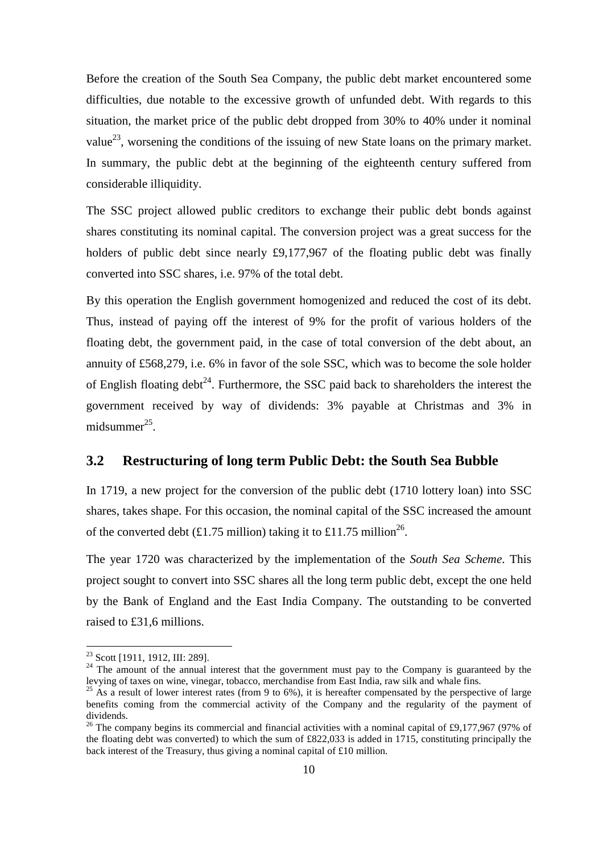Before the creation of the South Sea Company, the public debt market encountered some difficulties, due notable to the excessive growth of unfunded debt. With regards to this situation, the market price of the public debt dropped from 30% to 40% under it nominal value<sup>23</sup>, worsening the conditions of the issuing of new State loans on the primary market. In summary, the public debt at the beginning of the eighteenth century suffered from considerable illiquidity.

The SSC project allowed public creditors to exchange their public debt bonds against shares constituting its nominal capital. The conversion project was a great success for the holders of public debt since nearly £9,177,967 of the floating public debt was finally converted into SSC shares, i.e. 97% of the total debt.

By this operation the English government homogenized and reduced the cost of its debt. Thus, instead of paying off the interest of 9% for the profit of various holders of the floating debt, the government paid, in the case of total conversion of the debt about, an annuity of £568,279, i.e. 6% in favor of the sole SSC, which was to become the sole holder of English floating debt<sup>24</sup>. Furthermore, the SSC paid back to shareholders the interest the government received by way of dividends: 3% payable at Christmas and 3% in midsummer<sup>25</sup>.

#### **3.2 Restructuring of long term Public Debt: the South Sea Bubble**

In 1719, a new project for the conversion of the public debt (1710 lottery loan) into SSC shares, takes shape. For this occasion, the nominal capital of the SSC increased the amount of the converted debt (£1.75 million) taking it to £11.75 million<sup>26</sup>.

The year 1720 was characterized by the implementation of the *South Sea Scheme*. This project sought to convert into SSC shares all the long term public debt, except the one held by the Bank of England and the East India Company. The outstanding to be converted raised to £31,6 millions.

<sup>&</sup>lt;sup>23</sup> Scott [1911, 1912, III: 289].

 $24$  The amount of the annual interest that the government must pay to the Company is guaranteed by the levying of taxes on wine, vinegar, tobacco, merchandise from East India, raw silk and whale fins.

<sup>&</sup>lt;sup>25</sup> As a result of lower interest rates (from 9 to 6%), it is hereafter compensated by the perspective of large benefits coming from the commercial activity of the Company and the regularity of the payment of dividends.

<sup>&</sup>lt;sup>26</sup> The company begins its commercial and financial activities with a nominal capital of £9,177,967 (97% of the floating debt was converted) to which the sum of £822,033 is added in 1715, constituting principally the back interest of the Treasury, thus giving a nominal capital of £10 million.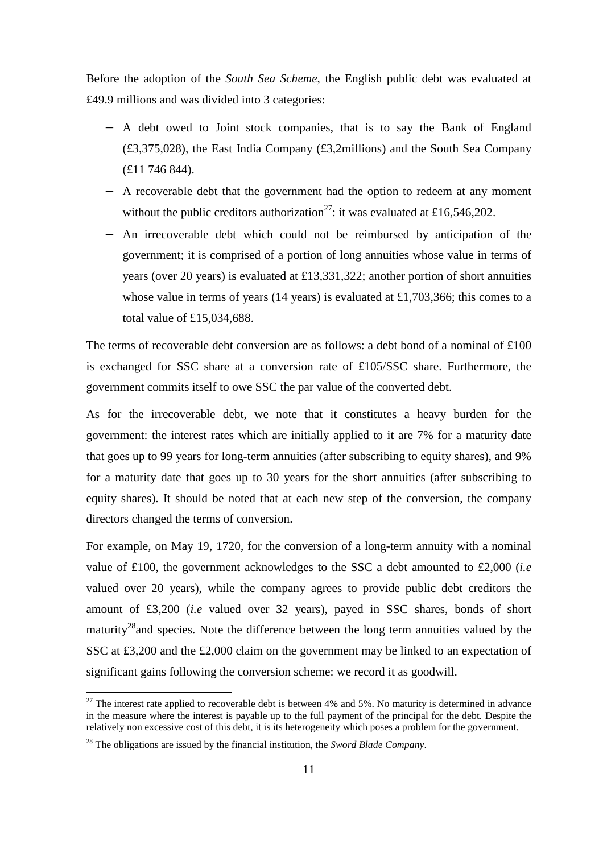Before the adoption of the *South Sea Scheme*, the English public debt was evaluated at £49.9 millions and was divided into 3 categories:

- − A debt owed to Joint stock companies, that is to say the Bank of England (£3,375,028), the East India Company (£3,2millions) and the South Sea Company (£11 746 844).
- − A recoverable debt that the government had the option to redeem at any moment without the public creditors authorization<sup>27</sup>: it was evaluated at £16,546,202.
- − An irrecoverable debt which could not be reimbursed by anticipation of the government; it is comprised of a portion of long annuities whose value in terms of years (over 20 years) is evaluated at £13,331,322; another portion of short annuities whose value in terms of years (14 years) is evaluated at £1,703,366; this comes to a total value of £15,034,688.

The terms of recoverable debt conversion are as follows: a debt bond of a nominal of  $\text{\pounds}100$ is exchanged for SSC share at a conversion rate of £105/SSC share. Furthermore, the government commits itself to owe SSC the par value of the converted debt.

As for the irrecoverable debt, we note that it constitutes a heavy burden for the government: the interest rates which are initially applied to it are 7% for a maturity date that goes up to 99 years for long-term annuities (after subscribing to equity shares), and 9% for a maturity date that goes up to 30 years for the short annuities (after subscribing to equity shares). It should be noted that at each new step of the conversion, the company directors changed the terms of conversion.

For example, on May 19, 1720, for the conversion of a long-term annuity with a nominal value of £100, the government acknowledges to the SSC a debt amounted to £2,000 (*i.e*  valued over 20 years), while the company agrees to provide public debt creditors the amount of £3,200 (*i.e* valued over 32 years), payed in SSC shares, bonds of short maturity<sup>28</sup> and species. Note the difference between the long term annuities valued by the SSC at £3,200 and the £2,000 claim on the government may be linked to an expectation of significant gains following the conversion scheme: we record it as goodwill.

 $27$  The interest rate applied to recoverable debt is between 4% and 5%. No maturity is determined in advance in the measure where the interest is payable up to the full payment of the principal for the debt. Despite the relatively non excessive cost of this debt, it is its heterogeneity which poses a problem for the government.

<sup>28</sup> The obligations are issued by the financial institution, the *Sword Blade Company*.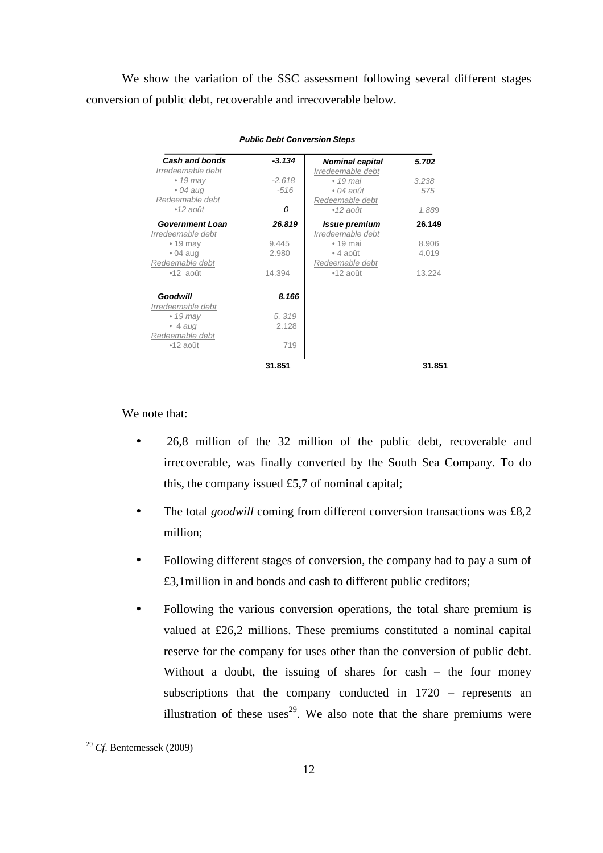We show the variation of the SSC assessment following several different stages conversion of public debt, recoverable and irrecoverable below.

| <b>Cash and bonds</b>  | $-3.134$ | <b>Nominal capital</b> | 5.702  |
|------------------------|----------|------------------------|--------|
| Irredeemable debt      |          | Irredeemable debt      |        |
| $\bullet$ 19 may       | $-2.618$ | $\bullet$ 19 mai       | 3.238  |
| $\bullet$ 04 aug       | $-516$   | $\bullet$ 04 août      | 575    |
| Redeemable debt        |          | Redeemable debt        |        |
| $\bullet$ 12 août      | 0        | $•12$ août             | 1.889  |
| <b>Government Loan</b> | 26.819   | <b>Issue premium</b>   | 26.149 |
| Irredeemable debt      |          | Irredeemable debt      |        |
| $\cdot$ 19 may         | 9.445    | $\bullet$ 19 mai       | 8.906  |
| $\bullet$ 04 aug       | 2.980    | $\bullet$ 4 août       | 4.019  |
| Redeemable debt        |          | Redeemable debt        |        |
| $•12$ août             | 14.394   | $•12$ août             | 13.224 |
| <b>Goodwill</b>        | 8.166    |                        |        |
| Irredeemable debt      |          |                        |        |
| $\bullet$ 19 may       | 5.319    |                        |        |
| $\bullet$ 4 aug        | 2.128    |                        |        |
| Redeemable debt        |          |                        |        |
| $•12$ août             | 719      |                        |        |
|                        | 31.851   |                        | 31.851 |

**Public Debt Conversion Steps**

We note that:

- 26,8 million of the 32 million of the public debt, recoverable and irrecoverable, was finally converted by the South Sea Company. To do this, the company issued  $£5,7$  of nominal capital;
- The total *goodwill* coming from different conversion transactions was £8,2 million;
- Following different stages of conversion, the company had to pay a sum of £3,1million in and bonds and cash to different public creditors;
- Following the various conversion operations, the total share premium is valued at £26,2 millions. These premiums constituted a nominal capital reserve for the company for uses other than the conversion of public debt. Without a doubt, the issuing of shares for cash – the four money subscriptions that the company conducted in 1720 – represents an illustration of these uses<sup>29</sup>. We also note that the share premiums were

<sup>29</sup> *Cf*. Bentemessek (2009)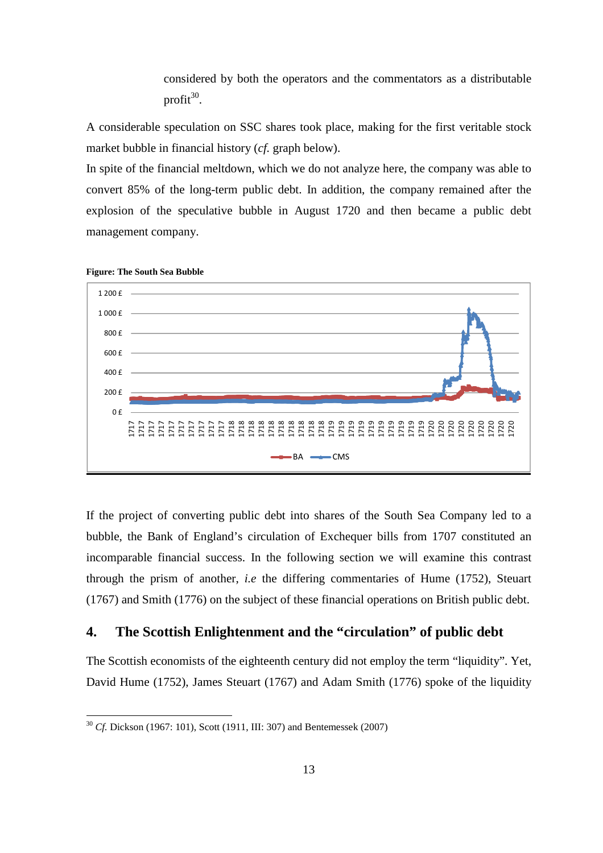considered by both the operators and the commentators as a distributable profit $^{30}$ .

A considerable speculation on SSC shares took place, making for the first veritable stock market bubble in financial history (*cf.* graph below).

In spite of the financial meltdown, which we do not analyze here, the company was able to convert 85% of the long-term public debt. In addition, the company remained after the explosion of the speculative bubble in August 1720 and then became a public debt management company.



**Figure: The South Sea Bubble** 

 $\overline{a}$ 

If the project of converting public debt into shares of the South Sea Company led to a bubble, the Bank of England's circulation of Exchequer bills from 1707 constituted an incomparable financial success. In the following section we will examine this contrast through the prism of another, *i.e* the differing commentaries of Hume (1752), Steuart (1767) and Smith (1776) on the subject of these financial operations on British public debt.

## **4. The Scottish Enlightenment and the "circulation" of public debt**

The Scottish economists of the eighteenth century did not employ the term "liquidity". Yet, David Hume (1752), James Steuart (1767) and Adam Smith (1776) spoke of the liquidity

<sup>30</sup> *Cf.* Dickson (1967: 101), Scott (1911, III: 307) and Bentemessek (2007)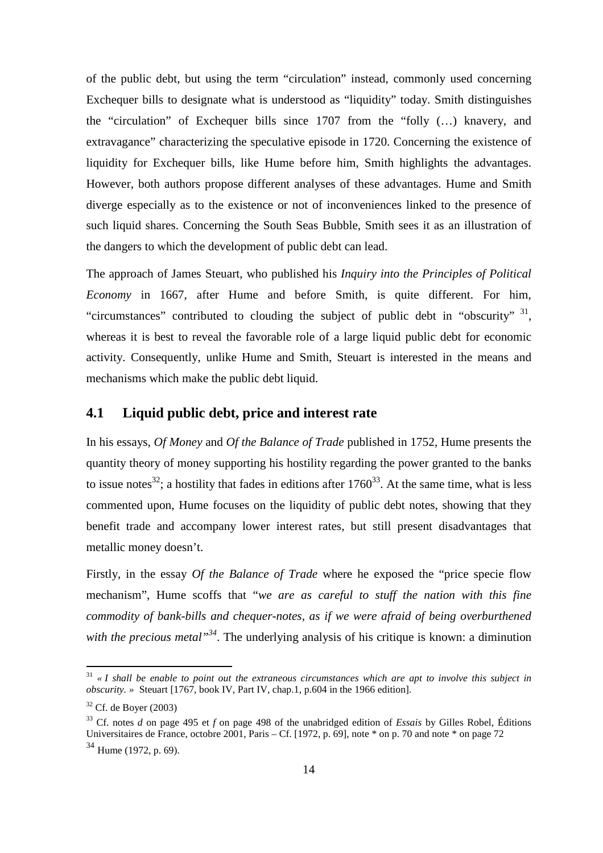of the public debt, but using the term "circulation" instead, commonly used concerning Exchequer bills to designate what is understood as "liquidity" today. Smith distinguishes the "circulation" of Exchequer bills since 1707 from the "folly (…) knavery, and extravagance" characterizing the speculative episode in 1720. Concerning the existence of liquidity for Exchequer bills, like Hume before him, Smith highlights the advantages. However, both authors propose different analyses of these advantages. Hume and Smith diverge especially as to the existence or not of inconveniences linked to the presence of such liquid shares. Concerning the South Seas Bubble, Smith sees it as an illustration of the dangers to which the development of public debt can lead.

The approach of James Steuart, who published his *Inquiry into the Principles of Political Economy* in 1667, after Hume and before Smith, is quite different. For him, "circumstances" contributed to clouding the subject of public debt in "obscurity"  $31$ , whereas it is best to reveal the favorable role of a large liquid public debt for economic activity. Consequently, unlike Hume and Smith, Steuart is interested in the means and mechanisms which make the public debt liquid.

#### **4.1 Liquid public debt, price and interest rate**

In his essays, *Of Money* and *Of the Balance of Trade* published in 1752, Hume presents the quantity theory of money supporting his hostility regarding the power granted to the banks to issue notes<sup>32</sup>; a hostility that fades in editions after  $1760^{33}$ . At the same time, what is less commented upon. Hume focuses on the liquidity of public debt notes, showing that they benefit trade and accompany lower interest rates, but still present disadvantages that metallic money doesn't.

Firstly, in the essay *Of the Balance of Trade* where he exposed the "price specie flow mechanism", Hume scoffs that "*we are as careful to stuff the nation with this fine commodity of bank-bills and chequer-notes, as if we were afraid of being overburthened*  with the precious metal<sup>34</sup>. The underlying analysis of his critique is known: a diminution

<sup>31</sup> *« I shall be enable to point out the extraneous circumstances which are apt to involve this subject in obscurity. »* Steuart [1767, book IV, Part IV, chap.1, p.604 in the 1966 edition].

 $32$  Cf. de Boyer (2003)

<sup>33</sup> Cf. notes *d* on page 495 et *f* on page 498 of the unabridged edition of *Essais* by Gilles Robel, Éditions Universitaires de France, octobre 2001, Paris – Cf. [1972, p. 69], note \* on p. 70 and note \* on page 72  $34$  Hume (1972, p. 69).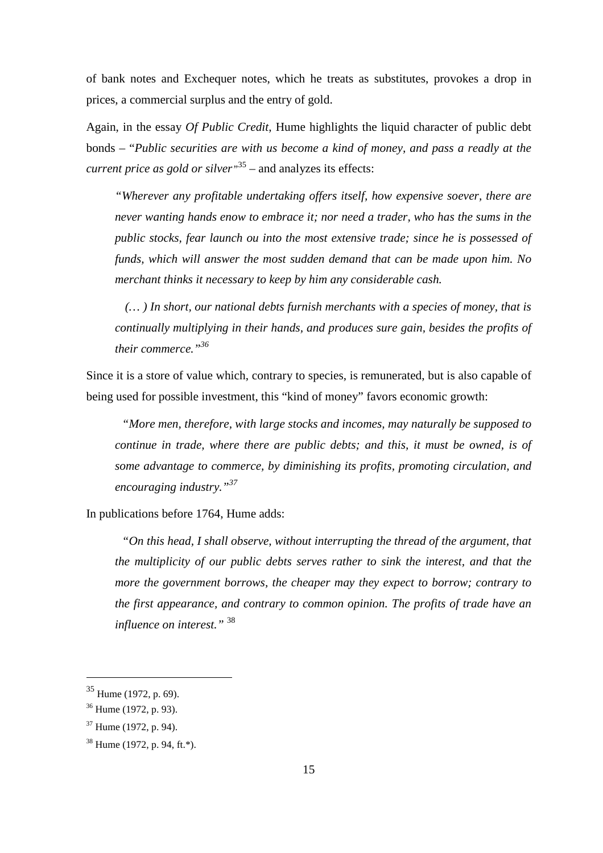of bank notes and Exchequer notes, which he treats as substitutes, provokes a drop in prices, a commercial surplus and the entry of gold.

Again, in the essay *Of Public Credit*, Hume highlights the liquid character of public debt bonds – "*Public securities are with us become a kind of money, and pass a readly at the current price as gold or silver"* <sup>35</sup> – and analyzes its effects:

*"Wherever any profitable undertaking offers itself, how expensive soever, there are never wanting hands enow to embrace it; nor need a trader, who has the sums in the public stocks, fear launch ou into the most extensive trade; since he is possessed of funds, which will answer the most sudden demand that can be made upon him. No merchant thinks it necessary to keep by him any considerable cash.* 

 *(… ) In short, our national debts furnish merchants with a species of money, that is continually multiplying in their hands, and produces sure gain, besides the profits of their commerce."<sup>36</sup>*

Since it is a store of value which, contrary to species, is remunerated, but is also capable of being used for possible investment, this "kind of money" favors economic growth:

*"More men, therefore, with large stocks and incomes, may naturally be supposed to continue in trade, where there are public debts; and this, it must be owned, is of some advantage to commerce, by diminishing its profits, promoting circulation, and encouraging industry."<sup>37</sup>*

In publications before 1764, Hume adds:

*"On this head, I shall observe, without interrupting the thread of the argument, that the multiplicity of our public debts serves rather to sink the interest, and that the more the government borrows, the cheaper may they expect to borrow; contrary to the first appearance, and contrary to common opinion. The profits of trade have an influence on interest."* <sup>38</sup>

 $35$  Hume (1972, p. 69).

 $36$  Hume (1972, p. 93).

<sup>37</sup> Hume (1972, p. 94).

<sup>38</sup> Hume (1972, p. 94, ft.\*).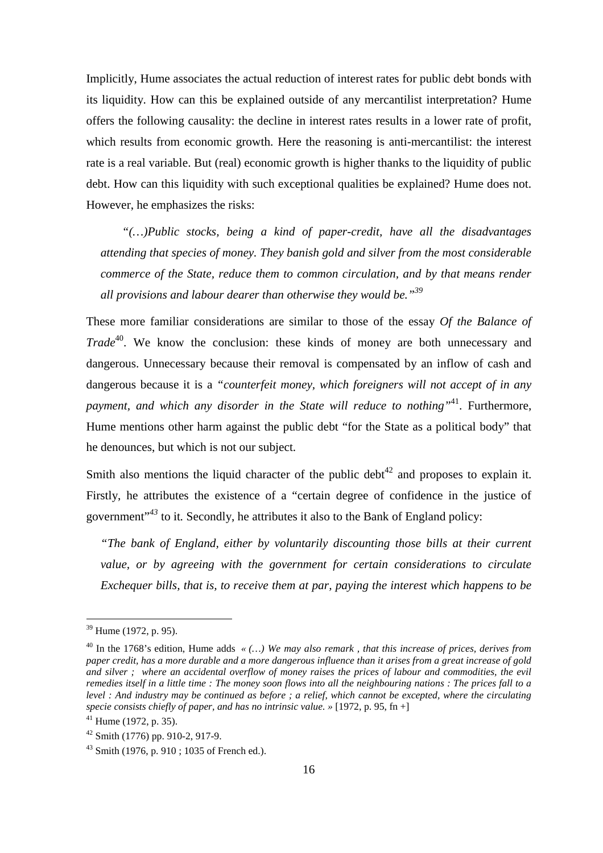Implicitly, Hume associates the actual reduction of interest rates for public debt bonds with its liquidity. How can this be explained outside of any mercantilist interpretation? Hume offers the following causality: the decline in interest rates results in a lower rate of profit, which results from economic growth. Here the reasoning is anti-mercantilist: the interest rate is a real variable. But (real) economic growth is higher thanks to the liquidity of public debt. How can this liquidity with such exceptional qualities be explained? Hume does not. However, he emphasizes the risks:

*"(…)Public stocks, being a kind of paper-credit, have all the disadvantages attending that species of money. They banish gold and silver from the most considerable commerce of the State, reduce them to common circulation, and by that means render all provisions and labour dearer than otherwise they would be."<sup>39</sup>* 

These more familiar considerations are similar to those of the essay *Of the Balance of Trade*<sup>40</sup>. We know the conclusion: these kinds of money are both unnecessary and dangerous. Unnecessary because their removal is compensated by an inflow of cash and dangerous because it is a *"counterfeit money, which foreigners will not accept of in any payment, and which any disorder in the State will reduce to nothing"*<sup>41</sup>. Furthermore, Hume mentions other harm against the public debt "for the State as a political body" that he denounces, but which is not our subject.

Smith also mentions the liquid character of the public debt<sup>42</sup> and proposes to explain it. Firstly, he attributes the existence of a "certain degree of confidence in the justice of government"*<sup>43</sup>* to it*.* Secondly, he attributes it also to the Bank of England policy:

*"The bank of England, either by voluntarily discounting those bills at their current value, or by agreeing with the government for certain considerations to circulate Exchequer bills, that is, to receive them at par, paying the interest which happens to be* 

l

 $39$  Hume (1972, p. 95).

<sup>40</sup> In the 1768's edition, Hume adds *« (…) We may also remark , that this increase of prices, derives from paper credit, has a more durable and a more dangerous influence than it arises from a great increase of gold and silver ; where an accidental overflow of money raises the prices of labour and commodities, the evil remedies itself in a little time : The money soon flows into all the neighbouring nations : The prices fall to a level : And industry may be continued as before ; a relief, which cannot be excepted, where the circulating specie consists chiefly of paper, and has no intrinsic value. »* [1972, p. 95, fn +]

 $41$  Hume (1972, p. 35).

 $42$  Smith (1776) pp. 910-2, 917-9.

<sup>&</sup>lt;sup>43</sup> Smith (1976, p. 910 ; 1035 of French ed.).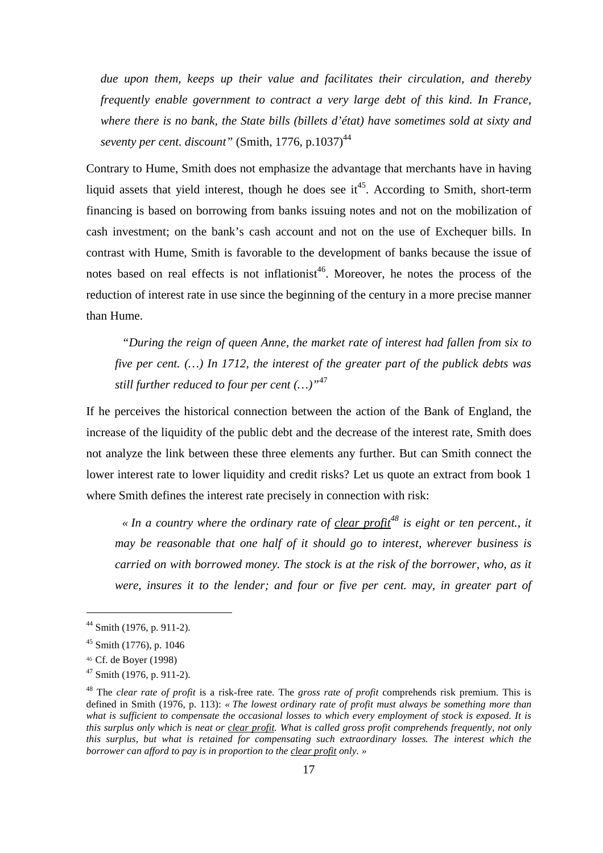*due upon them, keeps up their value and facilitates their circulation, and thereby frequently enable government to contract a very large debt of this kind. In France, where there is no bank, the State bills (billets d'état) have sometimes sold at sixty and seventy per cent. discount"* (Smith, 1776, p.1037)<sup>44</sup>

Contrary to Hume, Smith does not emphasize the advantage that merchants have in having liquid assets that yield interest, though he does see it<sup>45</sup>. According to Smith, short-term financing is based on borrowing from banks issuing notes and not on the mobilization of cash investment; on the bank's cash account and not on the use of Exchequer bills. In contrast with Hume, Smith is favorable to the development of banks because the issue of notes based on real effects is not inflationist<sup>46</sup>. Moreover, he notes the process of the reduction of interest rate in use since the beginning of the century in a more precise manner than Hume.

*"During the reign of queen Anne, the market rate of interest had fallen from six to five per cent. (…) In 1712, the interest of the greater part of the publick debts was still further reduced to four per cent (…)"*<sup>47</sup>

If he perceives the historical connection between the action of the Bank of England, the increase of the liquidity of the public debt and the decrease of the interest rate, Smith does not analyze the link between these three elements any further. But can Smith connect the lower interest rate to lower liquidity and credit risks? Let us quote an extract from book 1 where Smith defines the interest rate precisely in connection with risk:

*« In a country where the ordinary rate of clear profit<sup>48</sup> is eight or ten percent., it may be reasonable that one half of it should go to interest, wherever business is carried on with borrowed money. The stock is at the risk of the borrower, who, as it were, insures it to the lender; and four or five per cent. may, in greater part of* 

 $44$  Smith (1976, p. 911-2).

<sup>45</sup> Smith (1776), p. 1046

<sup>46</sup> Cf. de Boyer (1998)

 $47$  Smith (1976, p. 911-2).

<sup>48</sup> The *clear rate of profit* is a risk-free rate. The *gross rate of profit* comprehends risk premium. This is defined in Smith (1976, p. 113): *« The lowest ordinary rate of profit must always be something more than what is sufficient to compensate the occasional losses to which every employment of stock is exposed. It is this surplus only which is neat or clear profit. What is called gross profit comprehends frequently, not only this surplus, but what is retained for compensating such extraordinary losses. The interest which the borrower can afford to pay is in proportion to the clear profit only. »*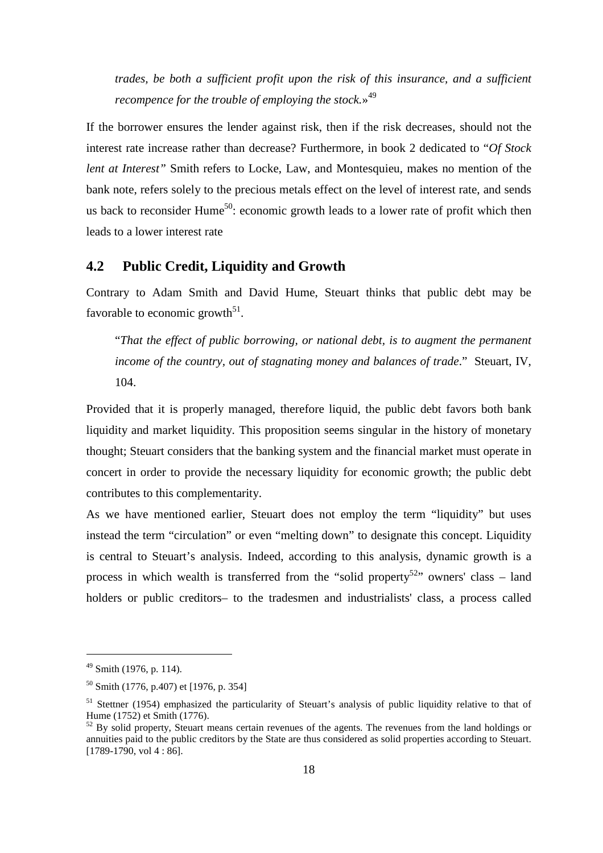*trades, be both a sufficient profit upon the risk of this insurance, and a sufficient recompence for the trouble of employing the stock.*» 49

If the borrower ensures the lender against risk, then if the risk decreases, should not the interest rate increase rather than decrease? Furthermore, in book 2 dedicated to "*Of Stock lent at Interest"* Smith refers to Locke, Law, and Montesquieu, makes no mention of the bank note, refers solely to the precious metals effect on the level of interest rate, and sends us back to reconsider Hume<sup>50</sup>: economic growth leads to a lower rate of profit which then leads to a lower interest rate

#### **4.2 Public Credit, Liquidity and Growth**

Contrary to Adam Smith and David Hume, Steuart thinks that public debt may be favorable to economic growth<sup>51</sup>.

"*That the effect of public borrowing, or national debt, is to augment the permanent income of the country, out of stagnating money and balances of trade*." Steuart, IV, 104.

Provided that it is properly managed, therefore liquid, the public debt favors both bank liquidity and market liquidity. This proposition seems singular in the history of monetary thought; Steuart considers that the banking system and the financial market must operate in concert in order to provide the necessary liquidity for economic growth; the public debt contributes to this complementarity.

As we have mentioned earlier, Steuart does not employ the term "liquidity" but uses instead the term "circulation" or even "melting down" to designate this concept. Liquidity is central to Steuart's analysis. Indeed, according to this analysis, dynamic growth is a process in which wealth is transferred from the "solid property<sup>52</sup>" owners' class – land holders or public creditors– to the tradesmen and industrialists' class, a process called

 $49$  Smith (1976, p. 114).

<sup>50</sup> Smith (1776, p.407) et [1976, p. 354]

<sup>51</sup> Stettner (1954) emphasized the particularity of Steuart's analysis of public liquidity relative to that of Hume (1752) et Smith (1776).

 $52$  By solid property, Steuart means certain revenues of the agents. The revenues from the land holdings or annuities paid to the public creditors by the State are thus considered as solid properties according to Steuart.  $[1789-1790, \text{vol } 4 : 86]$ .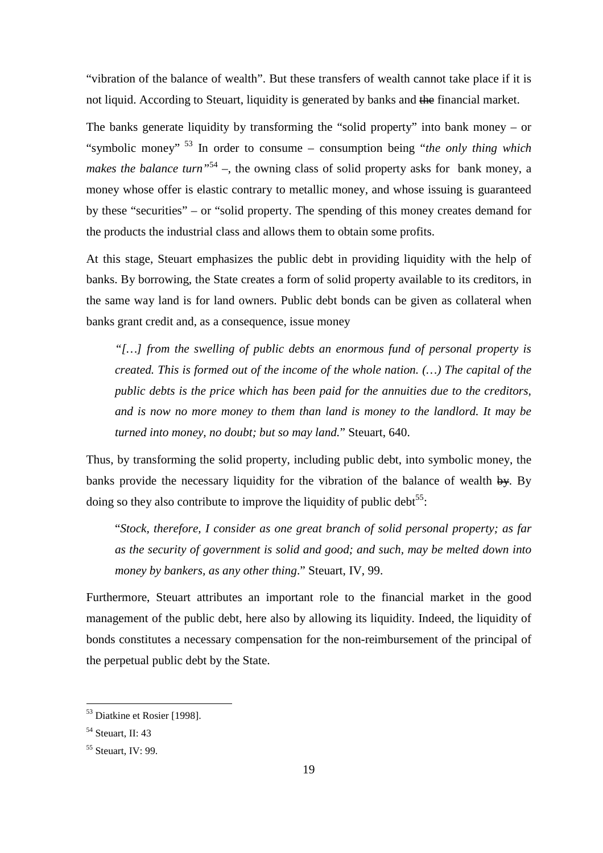"vibration of the balance of wealth". But these transfers of wealth cannot take place if it is not liquid. According to Steuart, liquidity is generated by banks and the financial market.

The banks generate liquidity by transforming the "solid property" into bank money – or "symbolic money"<sup>53</sup> In order to consume – consumption being "*the only thing which makes the balance turn*<sup>54</sup> –, the owning class of solid property asks for bank money, a money whose offer is elastic contrary to metallic money, and whose issuing is guaranteed by these "securities" – or "solid property. The spending of this money creates demand for the products the industrial class and allows them to obtain some profits.

At this stage, Steuart emphasizes the public debt in providing liquidity with the help of banks. By borrowing, the State creates a form of solid property available to its creditors, in the same way land is for land owners. Public debt bonds can be given as collateral when banks grant credit and, as a consequence, issue money

*"[…] from the swelling of public debts an enormous fund of personal property is created. This is formed out of the income of the whole nation. (…) The capital of the public debts is the price which has been paid for the annuities due to the creditors, and is now no more money to them than land is money to the landlord. It may be turned into money, no doubt; but so may land.*" Steuart, 640.

Thus, by transforming the solid property, including public debt, into symbolic money, the banks provide the necessary liquidity for the vibration of the balance of wealth  $\frac{1}{2}$ . By doing so they also contribute to improve the liquidity of public debt<sup>55</sup>:

"*Stock, therefore, I consider as one great branch of solid personal property; as far as the security of government is solid and good; and such, may be melted down into money by bankers, as any other thing*." Steuart, IV, 99.

Furthermore, Steuart attributes an important role to the financial market in the good management of the public debt, here also by allowing its liquidity. Indeed, the liquidity of bonds constitutes a necessary compensation for the non-reimbursement of the principal of the perpetual public debt by the State.

<sup>53</sup> Diatkine et Rosier [1998].

 $<sup>54</sup>$  Steuart, II: 43</sup>

<sup>55</sup> Steuart, IV: 99.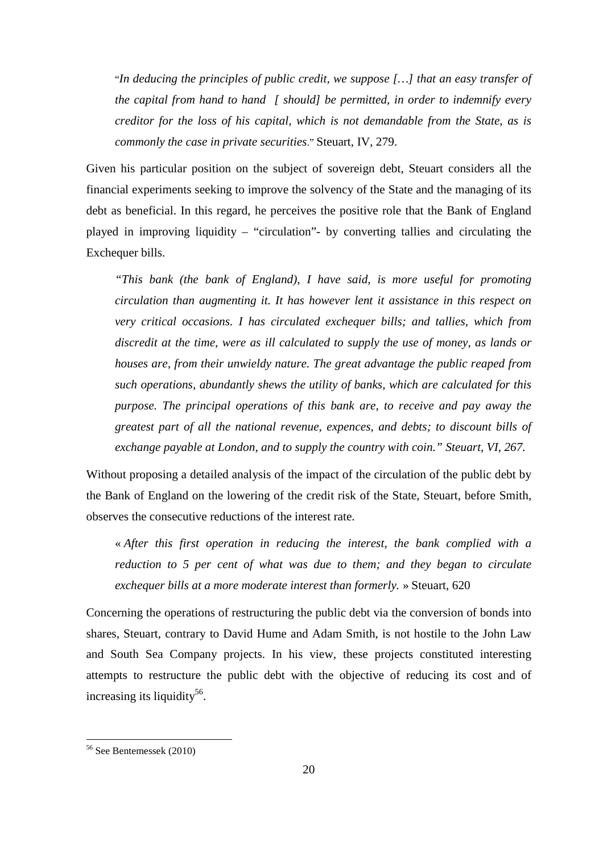"*In deducing the principles of public credit, we suppose […] that an easy transfer of the capital from hand to hand [ should] be permitted, in order to indemnify every creditor for the loss of his capital, which is not demandable from the State, as is commonly the case in private securities*." Steuart, IV, 279.

Given his particular position on the subject of sovereign debt, Steuart considers all the financial experiments seeking to improve the solvency of the State and the managing of its debt as beneficial. In this regard, he perceives the positive role that the Bank of England played in improving liquidity – "circulation"- by converting tallies and circulating the Exchequer bills.

*"This bank (the bank of England), I have said, is more useful for promoting circulation than augmenting it. It has however lent it assistance in this respect on very critical occasions. I has circulated exchequer bills; and tallies, which from discredit at the time, were as ill calculated to supply the use of money, as lands or houses are, from their unwieldy nature. The great advantage the public reaped from such operations, abundantly shews the utility of banks, which are calculated for this purpose. The principal operations of this bank are, to receive and pay away the greatest part of all the national revenue, expences, and debts; to discount bills of exchange payable at London, and to supply the country with coin." Steuart, VI, 267.* 

Without proposing a detailed analysis of the impact of the circulation of the public debt by the Bank of England on the lowering of the credit risk of the State, Steuart, before Smith, observes the consecutive reductions of the interest rate.

« *After this first operation in reducing the interest, the bank complied with a reduction to 5 per cent of what was due to them; and they began to circulate exchequer bills at a more moderate interest than formerly.* » Steuart, 620

Concerning the operations of restructuring the public debt via the conversion of bonds into shares, Steuart, contrary to David Hume and Adam Smith, is not hostile to the John Law and South Sea Company projects. In his view, these projects constituted interesting attempts to restructure the public debt with the objective of reducing its cost and of increasing its liquidity<sup>56</sup>.

<sup>56</sup> See Bentemessek (2010)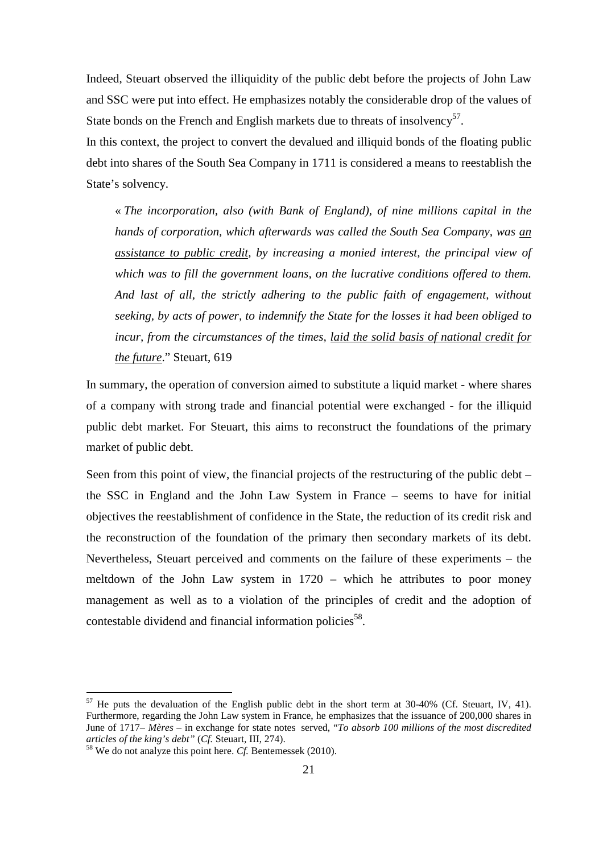Indeed, Steuart observed the illiquidity of the public debt before the projects of John Law and SSC were put into effect. He emphasizes notably the considerable drop of the values of State bonds on the French and English markets due to threats of insolvency<sup>57</sup>.

In this context, the project to convert the devalued and illiquid bonds of the floating public debt into shares of the South Sea Company in 1711 is considered a means to reestablish the State's solvency.

« *The incorporation, also (with Bank of England), of nine millions capital in the hands of corporation, which afterwards was called the South Sea Company, was an assistance to public credit, by increasing a monied interest, the principal view of which was to fill the government loans, on the lucrative conditions offered to them. And last of all, the strictly adhering to the public faith of engagement, without seeking, by acts of power, to indemnify the State for the losses it had been obliged to incur, from the circumstances of the times, laid the solid basis of national credit for the future*." Steuart, 619

In summary, the operation of conversion aimed to substitute a liquid market - where shares of a company with strong trade and financial potential were exchanged - for the illiquid public debt market. For Steuart, this aims to reconstruct the foundations of the primary market of public debt.

Seen from this point of view, the financial projects of the restructuring of the public debt  $$ the SSC in England and the John Law System in France – seems to have for initial objectives the reestablishment of confidence in the State, the reduction of its credit risk and the reconstruction of the foundation of the primary then secondary markets of its debt. Nevertheless, Steuart perceived and comments on the failure of these experiments – the meltdown of the John Law system in 1720 – which he attributes to poor money management as well as to a violation of the principles of credit and the adoption of contestable dividend and financial information policies<sup>58</sup>.

 $57$  He puts the devaluation of the English public debt in the short term at 30-40% (Cf. Steuart, IV, 41). Furthermore, regarding the John Law system in France, he emphasizes that the issuance of 200,000 shares in June of 1717– *Mères* – in exchange for state notes served, "*To absorb 100 millions of the most discredited articles of the king's debt"* (*Cf.* Steuart, III, 274).

<sup>58</sup> We do not analyze this point here. *Cf.* Bentemessek (2010).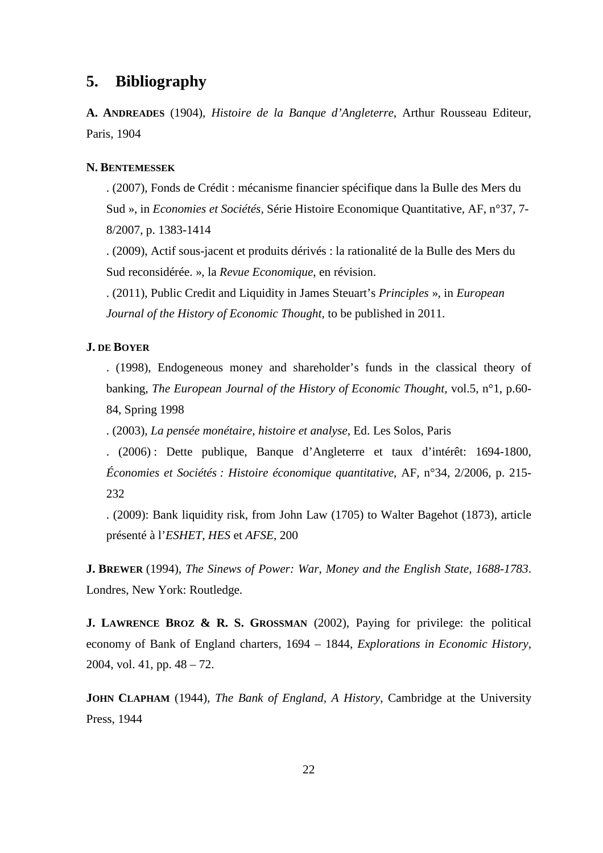## **5. Bibliography**

**A. ANDREADES** (1904), *Histoire de la Banque d'Angleterre*, Arthur Rousseau Editeur, Paris, 1904

#### **N. BENTEMESSEK**

. (2007), Fonds de Crédit : mécanisme financier spécifique dans la Bulle des Mers du Sud », in *Economies et Sociétés,* Série Histoire Economique Quantitative, AF, n°37, 7- 8/2007, p. 1383-1414

. (2009), Actif sous-jacent et produits dérivés : la rationalité de la Bulle des Mers du Sud reconsidérée. », la *Revue Economique*, en révision.

. (2011), Public Credit and Liquidity in James Steuart's *Principles* », in *European Journal of the History of Economic Thought,* to be published in 2011.

#### **J. DE BOYER**

. (1998), Endogeneous money and shareholder's funds in the classical theory of banking, *The European Journal of the History of Economic Thought*, vol.5, n°1, p.60- 84, Spring 1998

. (2003), *La pensée monétaire, histoire et analyse*, Ed. Les Solos, Paris

. (2006) : Dette publique, Banque d'Angleterre et taux d'intérêt: 1694-1800, *Économies et Sociétés : Histoire économique quantitative*, AF, n°34, 2/2006, p. 215- 232

. (2009): Bank liquidity risk, from John Law (1705) to Walter Bagehot (1873), article présenté à l'*ESHET*, *HES* et *AFSE*, 200

**J. BREWER** (1994), *The Sinews of Power: War, Money and the English State, 1688-1783*. Londres, New York: Routledge.

**J. LAWRENCE BROZ & R. S. GROSSMAN** (2002), Paying for privilege: the political economy of Bank of England charters, 1694 – 1844, *Explorations in Economic History,* 2004, vol. 41, pp. 48 – 72.

**JOHN CLAPHAM** (1944), *The Bank of England, A History*, Cambridge at the University Press, 1944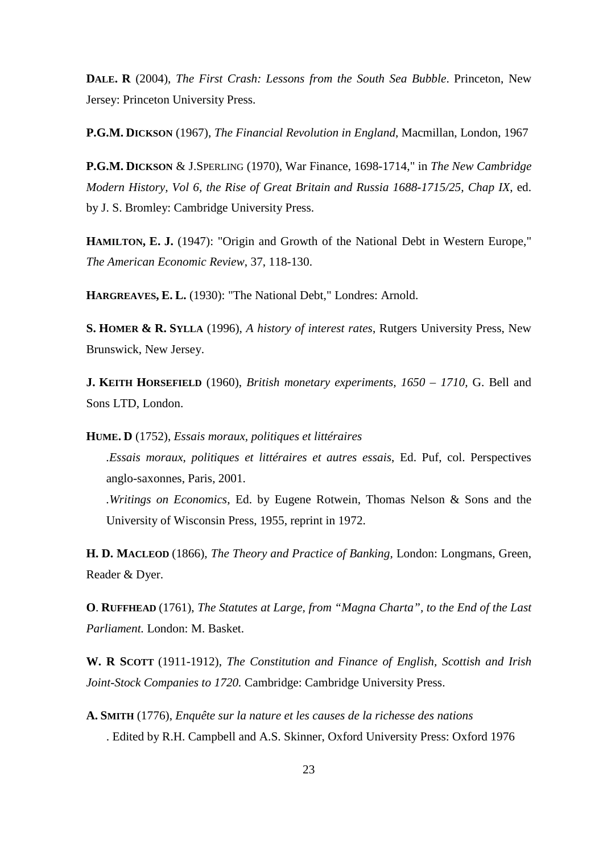**DALE. R** (2004), *The First Crash: Lessons from the South Sea Bubble*. Princeton, New Jersey: Princeton University Press.

**P.G.M. DICKSON** (1967), *The Financial Revolution in England*, Macmillan, London, 1967

**P.G.M. DICKSON** & J.SPERLING (1970), War Finance, 1698-1714," in *The New Cambridge Modern History, Vol 6, the Rise of Great Britain and Russia 1688-1715/25, Chap IX*, ed. by J. S. Bromley: Cambridge University Press.

**HAMILTON, E. J.** (1947): "Origin and Growth of the National Debt in Western Europe," *The American Economic Review*, 37, 118-130.

**HARGREAVES, E. L.** (1930): "The National Debt," Londres: Arnold.

**S. HOMER & R. SYLLA** (1996), *A history of interest rates*, Rutgers University Press, New Brunswick, New Jersey.

**J. KEITH HORSEFIELD** (1960), *British monetary experiments, 1650 – 1710,* G. Bell and Sons LTD, London.

**HUME. D** (1752), *Essais moraux, politiques et littéraires*

*.Essais moraux, politiques et littéraires et autres essais*, Ed. Puf, col. Perspectives anglo-saxonnes, Paris, 2001.

*.Writings on Economics*, Ed. by Eugene Rotwein, Thomas Nelson & Sons and the University of Wisconsin Press, 1955, reprint in 1972.

**H. D. MACLEOD** (1866), *The Theory and Practice of Banking,* London: Longmans, Green, Reader & Dyer.

**O**. **RUFFHEAD** (1761), *The Statutes at Large, from "Magna Charta", to the End of the Last Parliament.* London: M. Basket.

**W. R SCOTT** (1911-1912), *The Constitution and Finance of English, Scottish and Irish Joint-Stock Companies to 1720.* Cambridge: Cambridge University Press.

**A. SMITH** (1776), *Enquête sur la nature et les causes de la richesse des nations* . Edited by R.H. Campbell and A.S. Skinner, Oxford University Press: Oxford 1976